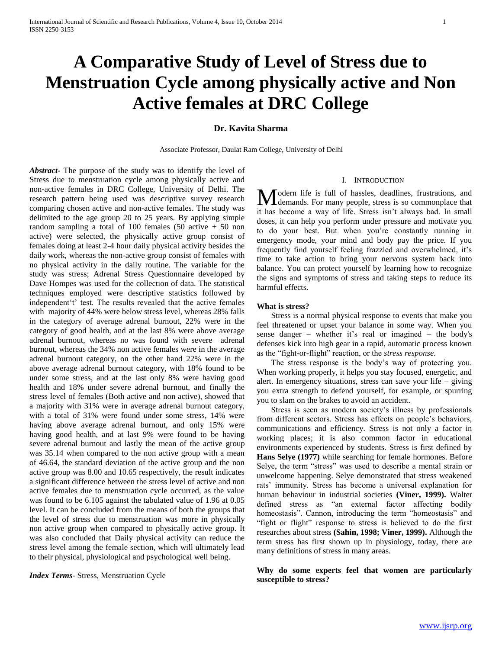# **A Comparative Study of Level of Stress due to Menstruation Cycle among physically active and Non Active females at DRC College**

## **Dr. Kavita Sharma**

Associate Professor, Daulat Ram College, University of Delhi

*Abstract***-** The purpose of the study was to identify the level of Stress due to menstruation cycle among physically active and non-active females in DRC College, University of Delhi. The research pattern being used was descriptive survey research comparing chosen active and non-active females. The study was delimited to the age group 20 to 25 years. By applying simple random sampling a total of 100 females  $(50 \text{ active } + 50 \text{ non}$ active) were selected, the physically active group consist of females doing at least 2-4 hour daily physical activity besides the daily work, whereas the non-active group consist of females with no physical activity in the daily routine. The variable for the study was stress; Adrenal Stress Questionnaire developed by Dave Hompes was used for the collection of data. The statistical techniques employed were descriptive statistics followed by independent't' test. The results revealed that the active females with majority of 44% were below stress level, whereas 28% falls in the category of average adrenal burnout, 22% were in the category of good health, and at the last 8% were above average adrenal burnout, whereas no was found with severe adrenal burnout, whereas the 34% non active females were in the average adrenal burnout category, on the other hand 22% were in the above average adrenal burnout category, with 18% found to be under some stress, and at the last only 8% were having good health and 18% under severe adrenal burnout, and finally the stress level of females (Both active and non active), showed that a majority with 31% were in average adrenal burnout category, with a total of 31% were found under some stress, 14% were having above average adrenal burnout, and only 15% were having good health, and at last 9% were found to be having severe adrenal burnout and lastly the mean of the active group was 35.14 when compared to the non active group with a mean of 46.64, the standard deviation of the active group and the non active group was 8.00 and 10.65 respectively, the result indicates a significant difference between the stress level of active and non active females due to menstruation cycle occurred, as the value was found to be 6.105 against the tabulated value of 1.96 at 0.05 level. It can be concluded from the means of both the groups that the level of stress due to menstruation was more in physically non active group when compared to physically active group. It was also concluded that Daily physical activity can reduce the stress level among the female section, which will ultimately lead to their physical, physiological and psychological well being.

### *Index Terms*- Stress, Menstruation Cycle

## I. INTRODUCTION

odern life is full of hassles, deadlines, frustrations, and Modern life is full of hassles, deadlines, frustrations, and<br>demands. For many people, stress is so commonplace that it has become a way of life. Stress isn't always bad. In small doses, it can help you perform under pressure and motivate you to do your best. But when you're constantly running in emergency mode, your mind and body pay the price. If you frequently find yourself feeling frazzled and overwhelmed, it's time to take action to bring your nervous system back into balance. You can protect yourself by learning how to recognize the signs and symptoms of stress and taking steps to reduce its harmful effects.

#### **What is stress?**

 Stress is a normal physical response to events that make you feel threatened or upset your balance in some way. When you sense danger – whether it's real or imagined – the body's defenses kick into high gear in a rapid, automatic process known as the "fight-or-flight" reaction, or the *stress response*.

 The stress response is the body's way of protecting you. When working properly, it helps you stay focused, energetic, and alert. In emergency situations, stress can save your life – giving you extra strength to defend yourself, for example, or spurring you to slam on the brakes to avoid an accident.

 Stress is seen as modern society's illness by professionals from different sectors. Stress has effects on people's behaviors, communications and efficiency. Stress is not only a factor in working places; it is also common factor in educational environments experienced by students. Stress is first defined by **Hans Selye (1977)** while searching for female hormones. Before Selye, the term "stress" was used to describe a mental strain or unwelcome happening. Selye demonstrated that stress weakened rats' immunity. Stress has become a universal explanation for human behaviour in industrial societies **(Viner, 1999).** Walter defined stress as "an external factor affecting bodily homeostasis". Cannon, introducing the term "homeostasis" and "fight or flight" response to stress is believed to do the first researches about stress **(Sahin, 1998; Viner, 1999).** Although the term stress has first shown up in physiology, today, there are many definitions of stress in many areas.

**Why do some experts feel that women are particularly susceptible to stress?**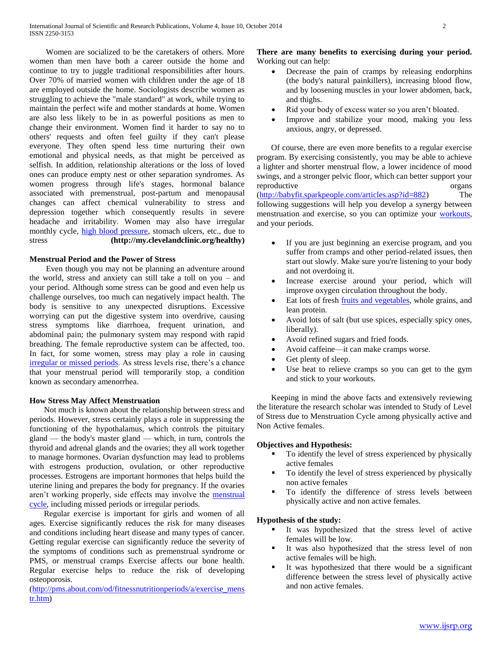Women are socialized to be the caretakers of others. More women than men have both a career outside the home and continue to try to juggle traditional responsibilities after hours. Over 70% of married women with children under the age of 18 are employed outside the home. Sociologists describe women as struggling to achieve the "male standard" at work, while trying to maintain the perfect wife and mother standards at home. Women are also less likely to be in as powerful positions as men to change their environment. Women find it harder to say no to others' requests and often feel guilty if they can't please everyone. They often spend less time nurturing their own emotional and physical needs, as that might be perceived as selfish. In addition, relationship alterations or the loss of loved ones can produce empty nest or other separation syndromes. As women progress through life's stages, hormonal balance associated with premenstrual, post-partum and menopausal changes can affect chemical vulnerability to stress and depression together which consequently results in severe headache and irritability. Women may also have irregular monthly cycle, [high blood pressure,](http://www.buzzle.com/articles/high-bloodpressure/) stomach ulcers, etc., due to stress **(http://my.clevelandclinic.org/healthy)**

## **Menstrual Period and the Power of Stress**

 Even though you may not be planning an adventure around the world, stress and anxiety can still take a toll on you – and your period. Although some stress can be good and even help us challenge ourselves, too much can negatively impact health. The body is sensitive to any unexpected disruptions. Excessive worrying can put the digestive system into overdrive, causing stress symptoms like diarrhoea, frequent urination, and abdominal pain; the pulmonary system may respond with rapid breathing. The female reproductive system can be affected, too. In fact, for some women, stress may play a role in causing [irregular or missed periods.](http://www.everydayhealth.com/pms/irregular-periods.aspx) As stress levels rise, there's a chance that your menstrual period will temporarily stop, a condition known as secondary amenorrhea.

# **How Stress May Affect Menstruation**

 Not much is known about the relationship between stress and periods. However, stress certainly plays a role in suppressing the functioning of the hypothalamus, which controls the pituitary gland — the body's master gland — which, in turn, controls the thyroid and adrenal glands and the ovaries; they all work together to manage hormones. Ovarian dysfunction may lead to problems with estrogens production, ovulation, or other reproductive processes. Estrogens are important hormones that helps build the uterine lining and prepares the body for pregnancy. If the ovaries aren't working properly, side effects may involve the [menstrual](http://www.everydayhealth.com/pms/pms-basics.aspx)  [cycle,](http://www.everydayhealth.com/pms/pms-basics.aspx) including missed periods or irregular periods.

 Regular exercise is important for girls and women of all ages. Exercise significantly reduces the risk for many diseases and conditions including heart disease and many types of cancer. Getting regular exercise can significantly reduce the severity of the symptoms of conditions such as premenstrual syndrome or PMS, or menstrual cramps Exercise affects our bone health. Regular exercise helps to reduce the risk of developing osteoporosis.

[\(http://pms.about.com/od/fitnessnutritionperiods/a/exercise\\_mens](http://pms.about.com/od/fitnessnutritionperiods/a/exercise_menstr.htm) [tr.htm\)](http://pms.about.com/od/fitnessnutritionperiods/a/exercise_menstr.htm)

## **There are many benefits to exercising during your period.** Working out can help:

- Decrease the pain of cramps by releasing endorphins (the body's natural painkillers), increasing blood flow, and by loosening muscles in your lower abdomen, back, and thighs.
- Rid your body of excess water so you aren't bloated.
- Improve and stabilize your mood, making you less anxious, angry, or depressed.

 Of course, there are even more benefits to a regular exercise program. By exercising consistently, you may be able to achieve a lighter and shorter menstrual flow, a lower incidence of mood swings, and a stronger pelvic floor, which can better support your reproductive organs [\(http://babyfit.sparkpeople.com/articles.asp?id=882\)](http://babyfit.sparkpeople.com/articles.asp?id=882) The following suggestions will help you develop a synergy between menstruation and exercise, so you can optimize your [workouts,](http://babyfit.sparkpeople.com/articles.asp?id=882) and your periods.

- If you are just beginning an exercise program, and you suffer from cramps and other period-related issues, then start out slowly. Make sure you're listening to your body and not overdoing it.
- Increase exercise around your period, which will improve oxygen circulation throughout the body.
- Eat lots of fresh fruits and [vegetables,](http://babyfit.sparkpeople.com/articles.asp?id=882) whole grains, and lean protein.
- Avoid lots of salt (but use spices, especially spicy ones, liberally).
- Avoid refined sugars and fried foods.
- Avoid caffeine—it can make cramps worse.
- Get plenty of sleep.
- Use heat to relieve cramps so you can get to the gym and stick to your workouts.

 Keeping in mind the above facts and extensively reviewing the literature the research scholar was intended to Study of Level of Stress due to Menstruation Cycle among physically active and Non Active females.

# **Objectives and Hypothesis:**

- To identify the level of stress experienced by physically active females
- To identify the level of stress experienced by physically non active females
- To identify the difference of stress levels between physically active and non active females.

# **Hypothesis of the study:**

- It was hypothesized that the stress level of active females will be low.
- It was also hypothesized that the stress level of non active females will be high.
- It was hypothesized that there would be a significant difference between the stress level of physically active and non active females.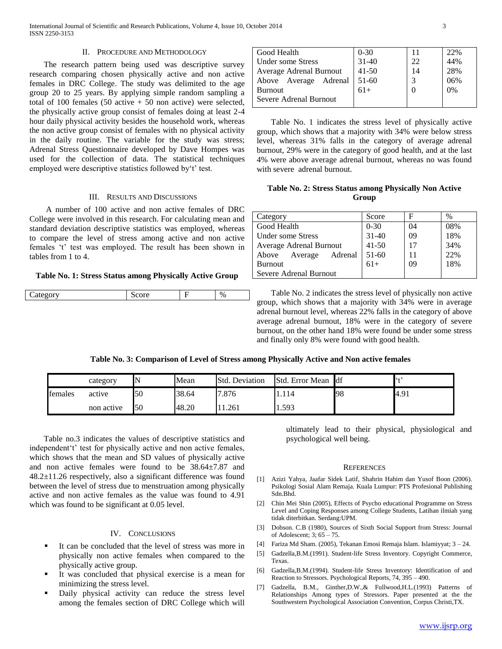#### II. PROCEDURE AND METHODOLOGY

 The research pattern being used was descriptive survey research comparing chosen physically active and non active females in DRC College. The study was delimited to the age group 20 to 25 years. By applying simple random sampling a total of 100 females (50 active  $+ 50$  non active) were selected, the physically active group consist of females doing at least 2-4 hour daily physical activity besides the household work, whereas the non active group consist of females with no physical activity in the daily routine. The variable for the study was stress; Adrenal Stress Questionnaire developed by Dave Hompes was used for the collection of data. The statistical techniques employed were descriptive statistics followed by't' test.

#### III. RESULTS AND DISCUSSIONS

 A number of 100 active and non active females of DRC College were involved in this research. For calculating mean and standard deviation descriptive statistics was employed, whereas to compare the level of stress among active and non active females 't' test was employed. The result has been shown in tables from 1 to 4.

#### **Table No. 1: Stress Status among Physically Active Group**

| $- - -$<br>ы<br>-11<br>-<br>$\ddotsc$ |  | 0 <sub>k</sub><br>. . |
|---------------------------------------|--|-----------------------|
|                                       |  |                       |

| Good Health              | $0 - 30$  |    | 22% |
|--------------------------|-----------|----|-----|
| <b>Under some Stress</b> | $31 - 40$ | 22 | 44% |
| Average Adrenal Burnout  | $41 - 50$ | 14 | 28% |
| Above Average Adrenal    | 51-60     |    | 06% |
| <b>Burnout</b>           | $61+$     |    | 0%  |
| Severe Adrenal Burnout   |           |    |     |
|                          |           |    |     |

 Table No. 1 indicates the stress level of physically active group, which shows that a majority with 34% were below stress level, whereas 31% falls in the category of average adrenal burnout, 29% were in the category of good health, and at the last 4% were above average adrenal burnout, whereas no was found with severe adrenal burnout.

## **Table No. 2: Stress Status among Physically Non Active Group**

| Category                | Score     | F  | $\%$ |
|-------------------------|-----------|----|------|
| Good Health             | $0 - 30$  | 04 | 08%  |
| Under some Stress       | $31 - 40$ | 09 | 18%  |
| Average Adrenal Burnout | $41 - 50$ | 17 | 34%  |
| Above Average Adrenal   | 51-60     |    | 22%  |
| <b>Burnout</b>          | $61+$     | 09 | 18%  |
| Severe Adrenal Burnout  |           |    |      |

 Table No. 2 indicates the stress level of physically non active group, which shows that a majority with 34% were in average adrenal burnout level, whereas 22% falls in the category of above average adrenal burnout, 18% were in the category of severe burnout, on the other hand 18% were found be under some stress and finally only 8% were found with good health.

## **Table No. 3: Comparison of Level of Stress among Physically Active and Non active females**

|         | category   |    | Mean  | <b>Std. Deviation</b> | <b>Std.</b> Error Mean | <b>I</b> df | $\epsilon$ |
|---------|------------|----|-------|-----------------------|------------------------|-------------|------------|
| females | active     | 50 | 38.64 | '.876                 | 114                    | 98          | 4.91       |
|         | non active | 50 | 48.20 | .261                  | .593                   |             |            |

 Table no.3 indicates the values of descriptive statistics and independent't' test for physically active and non active females, which shows that the mean and SD values of physically active and non active females were found to be 38.64±7.87 and 48.2±11.26 respectively, also a significant difference was found between the level of stress due to menstruation among physically active and non active females as the value was found to 4.91 which was found to be significant at 0.05 level.

### IV. CONCLUSIONS

- It can be concluded that the level of stress was more in physically non active females when compared to the physically active group.
- It was concluded that physical exercise is a mean for minimizing the stress level.
- Daily physical activity can reduce the stress level among the females section of DRC College which will

ultimately lead to their physical, physiological and psychological well being.

#### **REFERENCES**

- [1] Azizi Yahya, Jaafar Sidek Latif, Shahrin Hahim dan Yusof Boon (2006). Psikologi Sosial Alam Remaja. Kuala Lumpur: PTS Profesional Publishing Sdn.Bhd.
- [2] Chin Mei Shin (2005), Effects of Psycho educational Programme on Stress Level and Coping Responses among College Students, Latihan ilmiah yang tidak diterbitkan. Serdang:UPM.
- [3] Dobson. C.B (1980), Sources of Sixth Social Support from Stress: Journal of Adolescent; 3; 65 – 75.
- [4] Fariza Md Sham. (2005), Tekanan Emosi Remaja Islam. Islamiyyat; 3 24.
- [5] Gadzella,B.M.(1991). Student-life Stress Inventory. Copyright Commerce, Texas.
- [6] Gadzella,B.M.(1994). Student-life Stress Inventory: Identification of and Reaction to Stressors. Psychological Reports, 74, 395 – 490.
- [7] Gadzella, B.M., Ginther,D.W.,& Fullwood,H.L.(1993) Patterns of Relationships Among types of Stressors. Paper presented at the the Southwestern Psychological Association Convention, Corpus Christi,TX.